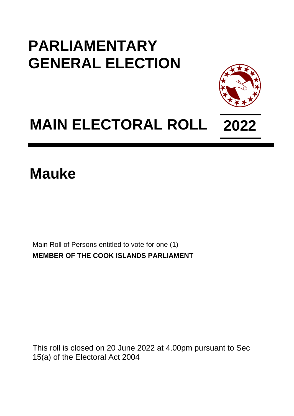## **PARLIAMENTARY GENERAL ELECTION**



# **MAIN ELECTORAL ROLL 2022**

### **Mauke**

Main Roll of Persons entitled to vote for one (1) **MEMBER OF THE COOK ISLANDS PARLIAMENT**

This roll is closed on 20 June 2022 at 4.00pm pursuant to Sec 15(a) of the Electoral Act 2004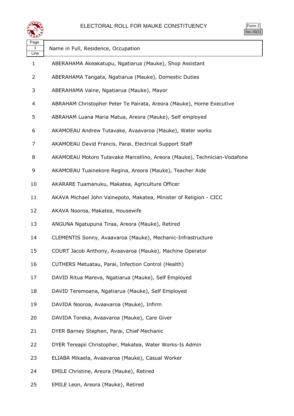

| Page<br>1<br>Line | Name in Full, Residence, Occupation                                      |
|-------------------|--------------------------------------------------------------------------|
| $\mathbf{1}$      | ABERAHAMA Akeakatupu, Ngatiarua (Mauke), Shop Assistant                  |
| 2                 | ABERAHAMA Tangata, Ngatiarua (Mauke), Domestic Duties                    |
| 3                 | ABERAHAMA Vaine, Ngatiarua (Mauke), Mayor                                |
| 4                 | ABRAHAM Christopher Peter Te Pairata, Areora (Mauke), Home Executive     |
| 5                 | ABRAHAM Luana Maria Matua, Areora (Mauke), Self employed                 |
| 6                 | AKAMOEAU Andrew Tutavake, Avaavaroa (Mauke), Water works                 |
| 7                 | AKAMOEAU David Francis, Parai, Electrical Support Staff                  |
| 8                 | AKAMOEAU Motoro Tutavake Marcellino, Areora (Mauke), Technician-Vodafone |
| 9                 | AKAMOEAU Tuainekore Regina, Areora (Mauke), Teacher Aide                 |
| 10                | AKARARE Tuamanuku, Makatea, Agriculture Officer                          |
| 11                | AKAVA Michael John Vainepoto, Makatea, Minister of Religion - CICC       |
| 12                | AKAVA Nooroa, Makatea, Housewife                                         |
| 13                | ANGUNA Ngatupuna Tiraa, Areora (Mauke), Retired                          |
| 14                | CLEMENTIS Sonny, Avaavaroa (Mauke), Mechanic-Infrastructure              |
| 15                | COURT Jacob Anthony, Avaavaroa (Mauke), Machine Operator                 |
| 16                | CUTHERS Metuatau, Parai, Infection Control (Health)                      |
| 17                | DAVID Ritua Mareva, Ngatiarua (Mauke), Self Employed                     |
| 18                | DAVID Teremoana, Ngatiarua (Mauke), Self Employed                        |
| 19                | DAVIDA Nooroa, Avaavaroa (Mauke), Infirm                                 |
| 20                | DAVIDA Toreka, Avaavaroa (Mauke), Care Giver                             |
| 21                | DYER Barney Stephen, Parai, Chief Mechanic                               |
| 22                | DYER Tereapii Christopher, Makatea, Water Works-Is Admin                 |
| 23                | ELIABA Mikaela, Avaavaroa (Mauke), Casual Worker                         |
| 24                | EMILE Christine, Areora (Mauke), Retired                                 |
| 25                | EMILE Leon, Areora (Mauke), Retired                                      |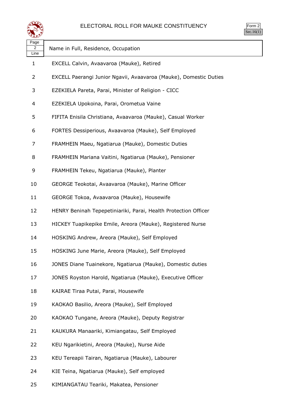

Form 2 Sec.16 $(1)$ 

| Page<br>2<br>Line | Name in Full, Residence, Occupation                               |
|-------------------|-------------------------------------------------------------------|
| $\mathbf{1}$      | EXCELL Calvin, Avaavaroa (Mauke), Retired                         |
| 2                 | EXCELL Paerangi Junior Ngavii, Avaavaroa (Mauke), Domestic Duties |
| 3                 | EZEKIELA Pareta, Parai, Minister of Religion - CICC               |
| 4                 | EZEKIELA Upokoina, Parai, Orometua Vaine                          |
| 5                 | FIFITA Enisila Christiana, Avaavaroa (Mauke), Casual Worker       |
| 6                 | FORTES Dessiperious, Avaavaroa (Mauke), Self Employed             |
| 7                 | FRAMHEIN Maeu, Ngatiarua (Mauke), Domestic Duties                 |
| 8                 | FRAMHEIN Mariana Vaitini, Ngatiarua (Mauke), Pensioner            |
| 9                 | FRAMHEIN Tekeu, Ngatiarua (Mauke), Planter                        |
| 10                | GEORGE Teokotai, Avaavaroa (Mauke), Marine Officer                |
| 11                | GEORGE Tokoa, Avaavaroa (Mauke), Housewife                        |
| 12                | HENRY Beninah Tepepetiniariki, Parai, Health Protection Officer   |
| 13                | HICKEY Tuapikepike Emile, Areora (Mauke), Registered Nurse        |
| 14                | HOSKING Andrew, Areora (Mauke), Self Employed                     |
| 15                | HOSKING June Marie, Areora (Mauke), Self Employed                 |
| 16                | JONES Diane Tuainekore, Ngatiarua (Mauke), Domestic duties        |
| 17                | JONES Royston Harold, Ngatiarua (Mauke), Executive Officer        |
| 18                | KAIRAE Tiraa Putai, Parai, Housewife                              |
| 19                | KAOKAO Basilio, Areora (Mauke), Self Employed                     |
| 20                | KAOKAO Tungane, Areora (Mauke), Deputy Registrar                  |
| 21                | KAUKURA Manaariki, Kimiangatau, Self Employed                     |
| 22                | KEU Ngarikietini, Areora (Mauke), Nurse Aide                      |
| 23                | KEU Tereapii Tairan, Ngatiarua (Mauke), Labourer                  |
| 24                | KIE Teina, Ngatiarua (Mauke), Self employed                       |
| 25                | KIMIANGATAU Teariki, Makatea, Pensioner                           |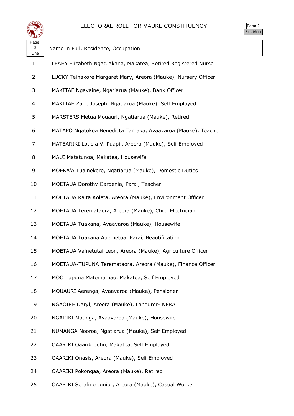

| Page<br>3<br>Line | Name in Full, Residence, Occupation                            |
|-------------------|----------------------------------------------------------------|
| $\mathbf 1$       | LEAHY Elizabeth Ngatuakana, Makatea, Retired Registered Nurse  |
| 2                 | LUCKY Teinakore Margaret Mary, Areora (Mauke), Nursery Officer |
| 3                 | MAKITAE Ngavaine, Ngatiarua (Mauke), Bank Officer              |
| 4                 | MAKITAE Zane Joseph, Ngatiarua (Mauke), Self Employed          |
| 5                 | MARSTERS Metua Mouauri, Ngatiarua (Mauke), Retired             |
| 6                 | MATAPO Ngatokoa Benedicta Tamaka, Avaavaroa (Mauke), Teacher   |
| 7                 | MATEARIKI Lotiola V. Puapii, Areora (Mauke), Self Employed     |
| 8                 | MAUI Matatunoa, Makatea, Housewife                             |
| 9                 | MOEKA'A Tuainekore, Ngatiarua (Mauke), Domestic Duties         |
| 10                | MOETAUA Dorothy Gardenia, Parai, Teacher                       |
| 11                | MOETAUA Raita Koleta, Areora (Mauke), Environment Officer      |
| 12                | MOETAUA Teremataora, Areora (Mauke), Chief Electrician         |
| 13                | MOETAUA Tuakana, Avaavaroa (Mauke), Housewife                  |
| 14                | MOETAUA Tuakana Auemetua, Parai, Beautification                |
| 15                | MOETAUA Vainetutai Leon, Areora (Mauke), Agriculture Officer   |
| 16                | MOETAUA-TUPUNA Teremataora, Areora (Mauke), Finance Officer    |
| 17                | MOO Tupuna Matemamao, Makatea, Self Employed                   |
| 18                | MOUAURI Aerenga, Avaavaroa (Mauke), Pensioner                  |
| 19                | NGAOIRE Daryl, Areora (Mauke), Labourer-INFRA                  |
| 20                | NGARIKI Maunga, Avaavaroa (Mauke), Housewife                   |
| 21                | NUMANGA Nooroa, Ngatiarua (Mauke), Self Employed               |
| 22                | OAARIKI Oaariki John, Makatea, Self Employed                   |
| 23                | OAARIKI Onasis, Areora (Mauke), Self Employed                  |
| 24                | OAARIKI Pokongaa, Areora (Mauke), Retired                      |
| 25                | OAARIKI Serafino Junior, Areora (Mauke), Casual Worker         |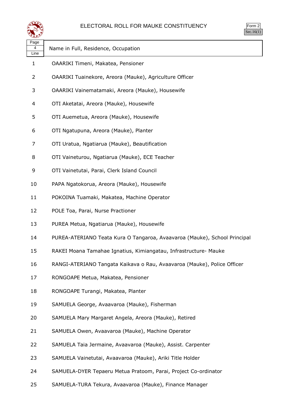

| orm<br>╭       |
|----------------|
| $\blacksquare$ |

| Page<br>4<br>Line | Name in Full, Residence, Occupation                                       |
|-------------------|---------------------------------------------------------------------------|
| $\mathbf{1}$      | OAARIKI Timeni, Makatea, Pensioner                                        |
| $\overline{2}$    | OAARIKI Tuainekore, Areora (Mauke), Agriculture Officer                   |
| 3                 | OAARIKI Vainematamaki, Areora (Mauke), Housewife                          |
| 4                 | OTI Aketatai, Areora (Mauke), Housewife                                   |
| 5                 | OTI Auemetua, Areora (Mauke), Housewife                                   |
| 6                 | OTI Ngatupuna, Areora (Mauke), Planter                                    |
| 7                 | OTI Uratua, Ngatiarua (Mauke), Beautification                             |
| 8                 | OTI Vaineturou, Ngatiarua (Mauke), ECE Teacher                            |
| 9                 | OTI Vainetutai, Parai, Clerk Island Council                               |
| 10                | PAPA Ngatokorua, Areora (Mauke), Housewife                                |
| 11                | POKOINA Tuamaki, Makatea, Machine Operator                                |
| 12                | POLE Toa, Parai, Nurse Practioner                                         |
| 13                | PUREA Metua, Ngatiarua (Mauke), Housewife                                 |
| 14                | PUREA-ATERIANO Teata Kura O Tangaroa, Avaavaroa (Mauke), School Principal |
| 15                | RAKEI Moana Tamahae Ignatius, Kimiangatau, Infrastructure- Mauke          |
| 16                | RANGI-ATERIANO Tangata Kaikava o Rau, Avaavaroa (Mauke), Police Officer   |
| 17                | RONGOAPE Metua, Makatea, Pensioner                                        |
| 18                | RONGOAPE Turangi, Makatea, Planter                                        |
| 19                | SAMUELA George, Avaavaroa (Mauke), Fisherman                              |
| 20                | SAMUELA Mary Margaret Angela, Areora (Mauke), Retired                     |
| 21                | SAMUELA Owen, Avaavaroa (Mauke), Machine Operator                         |
| 22                | SAMUELA Taia Jermaine, Avaavaroa (Mauke), Assist. Carpenter               |
| 23                | SAMUELA Vainetutai, Avaavaroa (Mauke), Ariki Title Holder                 |
| 24                | SAMUELA-DYER Tepaeru Metua Pratoom, Parai, Project Co-ordinator           |
| 25                | SAMUELA-TURA Tekura, Avaavaroa (Mauke), Finance Manager                   |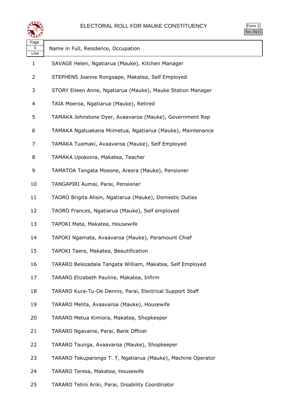

Form 2 Sec.16(1)

| Page<br>5<br>Line | Name in Full, Residence, Occupation                          |
|-------------------|--------------------------------------------------------------|
| 1                 | SAVAGE Helen, Ngatiarua (Mauke), Kitchen Manager             |
| 2                 | STEPHENS Joanne Rongoape, Makatea, Self Employed             |
| 3                 | STORY Eileen Anne, Ngatiarua (Mauke), Mauke Station Manager  |
| 4                 | TAIA Moeroa, Ngatiarua (Mauke), Retired                      |
| 5                 | TAMAKA Johnstone Dyer, Avaavaroa (Mauke), Government Rep     |
| 6                 | TAMAKA Ngatuakana Miimetua, Ngatiarua (Mauke), Maintenance   |
| 7                 | TAMAKA Tuamaki, Avaavaroa (Mauke), Self Employed             |
| 8                 | TAMAKA Upokoina, Makatea, Teacher                            |
| 9                 | TAMATOA Tangata Moeone, Areora (Mauke), Pensioner            |
| 10                | TANGAPIRI Aumai, Parai, Pensioner                            |
| 11                | TAORO Brigita Ahsin, Ngatiarua (Mauke), Domestic Duties      |
| 12                | TAORO Frances, Ngatiarua (Mauke), Self employed              |
| 13                | TAPOKI Mata, Makatea, Housewife                              |
| 14                | TAPOKI Ngamata, Avaavaroa (Mauke), Paramount Chief           |
| 15                | TAPOKI Taere, Makatea, Beautification                        |
| 16                | TARARO Belezadala Tangata William, Makatea, Self Employed    |
| 17                | TARARO Elizabeth Pauline, Makatea, Infirm                    |
| 18                | TARARO Kura-Tu-Oe Dennis, Parai, Electrical Support Staff    |
| 19                | TARARO Melita, Avaavaroa (Mauke), Housewife                  |
| 20                | TARARO Metua Kimiora, Makatea, Shopkeeper                    |
| 21                | TARARO Ngavaine, Parai, Bank Officer                         |
| 22                | TARARO Taunga, Avaavaroa (Mauke), Shopkeeper                 |
| 23                | TARARO Tekuparongo T. T, Ngatiarua (Mauke), Machine Operator |
| 24                | TARARO Teresa, Makatea, Housewife                            |
| 25                | TARARO Tetini Ariki, Parai, Disability Coordinator           |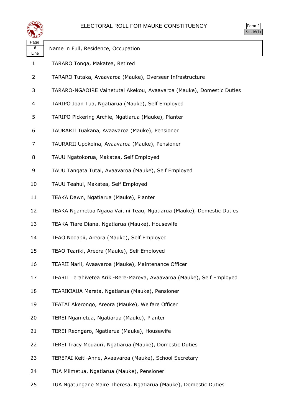

Form 2 Sec.16(1)

| Page<br>6<br>Line | Name in Full, Residence, Occupation                                    |
|-------------------|------------------------------------------------------------------------|
| $\mathbf{1}$      | TARARO Tonga, Makatea, Retired                                         |
| 2                 | TARARO Tutaka, Avaavaroa (Mauke), Overseer Infrastructure              |
| 3                 | TARARO-NGAOIRE Vainetutai Akekou, Avaavaroa (Mauke), Domestic Duties   |
| 4                 | TARIPO Joan Tua, Ngatiarua (Mauke), Self Employed                      |
| 5                 | TARIPO Pickering Archie, Ngatiarua (Mauke), Planter                    |
| 6                 | TAURARII Tuakana, Avaavaroa (Mauke), Pensioner                         |
| 7                 | TAURARII Upokoina, Avaavaroa (Mauke), Pensioner                        |
| 8                 | TAUU Ngatokorua, Makatea, Self Employed                                |
| 9                 | TAUU Tangata Tutai, Avaavaroa (Mauke), Self Employed                   |
| 10                | TAUU Teahui, Makatea, Self Employed                                    |
| 11                | TEAKA Dawn, Ngatiarua (Mauke), Planter                                 |
| 12                | TEAKA Ngametua Ngaoa Vaitini Teau, Ngatiarua (Mauke), Domestic Duties  |
| 13                | TEAKA Tiare Diana, Ngatiarua (Mauke), Housewife                        |
| 14                | TEAO Nooapii, Areora (Mauke), Self Employed                            |
| 15                | TEAO Teariki, Areora (Mauke), Self Employed                            |
| 16                | TEARII Narii, Avaavaroa (Mauke), Maintenance Officer                   |
| 17                | TEARII Terahivetea Ariki-Rere-Mareva, Avaavaroa (Mauke), Self Employed |
| 18                | TEARIKIAUA Mareta, Ngatiarua (Mauke), Pensioner                        |
| 19                | TEATAI Akerongo, Areora (Mauke), Welfare Officer                       |
| 20                | TEREI Ngametua, Ngatiarua (Mauke), Planter                             |
| 21                | TEREI Reongaro, Ngatiarua (Mauke), Housewife                           |
| 22                | TEREI Tracy Mouauri, Ngatiarua (Mauke), Domestic Duties                |
| 23                | TEREPAI Keiti-Anne, Avaavaroa (Mauke), School Secretary                |
| 24                | TUA Miimetua, Ngatiarua (Mauke), Pensioner                             |
| 25                | TUA Ngatungane Maire Theresa, Ngatiarua (Mauke), Domestic Duties       |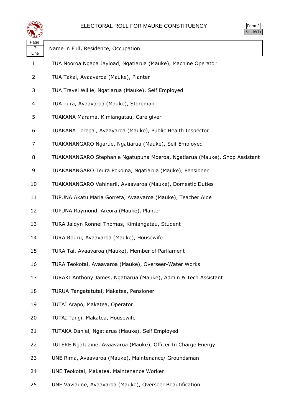

| Page |                                                                            |
|------|----------------------------------------------------------------------------|
| Line | Name in Full, Residence, Occupation                                        |
| 1    | TUA Nooroa Ngaoa Jayload, Ngatiarua (Mauke), Machine Operator              |
| 2    | TUA Takai, Avaavaroa (Mauke), Planter                                      |
| 3    | TUA Travel Willie, Ngatiarua (Mauke), Self Employed                        |
| 4    | TUA Tura, Avaavaroa (Mauke), Storeman                                      |
| 5    | TUAKANA Marama, Kimiangatau, Care giver                                    |
| 6    | TUAKANA Terepai, Avaavaroa (Mauke), Public Health Inspector                |
| 7    | TUAKANANGARO Ngarue, Ngatiarua (Mauke), Self Employed                      |
| 8    | TUAKANANGARO Stephanie Ngatupuna Moeroa, Ngatiarua (Mauke), Shop Assistant |
| 9    | TUAKANANGARO Teura Pokoina, Ngatiarua (Mauke), Pensioner                   |
| 10   | TUAKANANGARO Vahinerii, Avaavaroa (Mauke), Domestic Duties                 |
| 11   | TUPUNA Akatu Maria Gorreta, Avaavaroa (Mauke), Teacher Aide                |
| 12   | TUPUNA Raymond, Areora (Mauke), Planter                                    |
| 13   | TURA Jaidyn Ronnel Thomas, Kimiangatau, Student                            |
| 14   | TURA Rouru, Avaavaroa (Mauke), Housewife                                   |
| 15   | TURA Tai, Avaavaroa (Mauke), Member of Parliament                          |
| 16   | TURA Teokotai, Avaavaroa (Mauke), Overseer-Water Works                     |
| 17   | TURAKI Anthony James, Ngatiarua (Mauke), Admin & Tech Assistant            |
| 18   | TURUA Tangatatutai, Makatea, Pensioner                                     |
| 19   | TUTAI Arapo, Makatea, Operator                                             |
| 20   | TUTAI Tangi, Makatea, Housewife                                            |
| 21   | TUTAKA Daniel, Ngatiarua (Mauke), Self Employed                            |
| 22   | TUTERE Ngatuaine, Avaavaroa (Mauke), Officer In Charge Energy              |
| 23   | UNE Rima, Avaavaroa (Mauke), Maintenance/ Groundsman                       |
| 24   | UNE Teokotai, Makatea, Maintenance Worker                                  |

UNE Vaviaune, Avaavaroa (Mauke), Overseer Beautification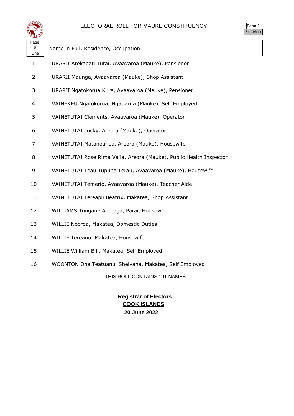

| $\gamma$ m<br>٠, |  |
|------------------|--|
| $\blacksquare$   |  |

| Page<br>8<br>Line | Name in Full, Residence, Occupation                                 |
|-------------------|---------------------------------------------------------------------|
| $\mathbf{1}$      | URARII Arekaoati Tutai, Avaavaroa (Mauke), Pensioner                |
| $\overline{2}$    | URARII Maunga, Avaavaroa (Mauke), Shop Assistant                    |
| 3                 | URARII Ngatokorua Kura, Avaavaroa (Mauke), Pensioner                |
| 4                 | VAINEKEU Ngatokorua, Ngatiarua (Mauke), Self Employed               |
| 5                 | VAINETUTAI Clements, Avaavaroa (Mauke), Operator                    |
| 6                 | VAINETUTAI Lucky, Areora (Mauke), Operator                          |
| 7                 | VAINETUTAI Matanoanoa, Areora (Mauke), Housewife                    |
| 8                 | VAINETUTAI Rose Rima Vaiia, Areora (Mauke), Public Health Inspector |
| 9                 | VAINETUTAI Teau Tupuna Terau, Avaavaroa (Mauke), Housewife          |
| 10                | VAINETUTAI Temerio, Avaavaroa (Mauke), Teacher Aide                 |
| 11                | VAINETUTAI Tereapii Beatrix, Makatea, Shop Assistant                |
| 12                | WILLIAMS Tungane Aerenga, Parai, Housewife                          |
| 13                | WILLIE Nooroa, Makatea, Domestic Duties                             |
| 14                | WILLIE Tereanu, Makatea, Housewife                                  |
| 15                | WILLIE William Bill, Makatea, Self Employed                         |
| 16                | WOONTON Ona Teatuanui Shelvana, Makatea, Self Employed              |
|                   | THIS ROLL CONTAINS 191 NAMES                                        |

### **Registrar of Electors COOK ISLANDS 20 June 2022**